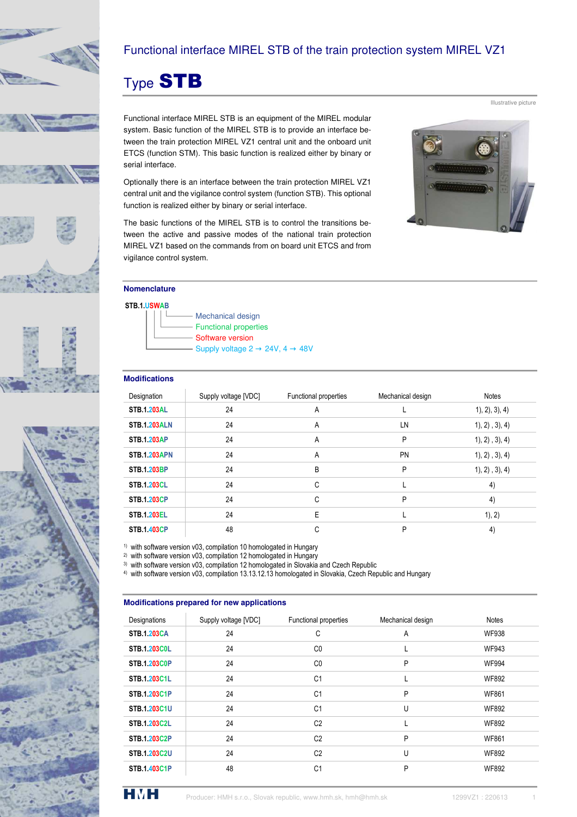





# Functional interface MIREL STB of the train protection system MIREL VZ1

# Type STB

Functional interface MIREL STB is an equipment of the MIREL modular system. Basic function of the MIREL STB is to provide an interface between the train protection MIREL VZ1 central unit and the onboard unit ETCS (function STM). This basic function is realized either by binary or serial interface.

Optionally there is an interface between the train protection MIREL VZ1 central unit and the vigilance control system (function STB). This optional function is realized either by binary or serial interface.

The basic functions of the MIREL STB is to control the transitions between the active and passive modes of the national train protection MIREL VZ1 based on the commands from on board unit ETCS and from vigilance control system.

### **Nomenclature**

#### **STB.1.USWAB**

 Mechanical design Functional properties Software version

Supply voltage  $2 \rightarrow 24V$ ,  $4 \rightarrow 48V$ 

#### **Modifications**

| Designation         | Supply voltage [VDC] | Functional properties | Mechanical design | Notes          |
|---------------------|----------------------|-----------------------|-------------------|----------------|
| <b>STB.1.203AL</b>  | 24                   | A                     |                   | 1, 2, 3, 4)    |
| <b>STB.1.203ALN</b> | 24                   | A                     | LN                | 1, 2, 3, 4)    |
| <b>STB.1.203AP</b>  | 24                   | A                     | P                 | 1), 2), 3), 4) |
| <b>STB.1.203APN</b> | 24                   | A                     | <b>PN</b>         | 1, 2, 3, 4     |
| <b>STB.1.203BP</b>  | 24                   | B                     | P                 | 1), 2), 3), 4) |
| <b>STB.1.203CL</b>  | 24                   | C                     | L.                | 4)             |
| <b>STB.1.203CP</b>  | 24                   | C                     | P                 | 4)             |
| <b>STB.1.203EL</b>  | 24                   | E                     |                   | 1), 2)         |
| <b>STB.1.403CP</b>  | 48                   | C                     | P                 | 4)             |

1) with software version v03, compilation 10 homologated in Hungary

2) with software version v03, compilation 12 homologated in Hungary

3) with software version v03, compilation 12 homologated in Slovakia and Czech Republic

4) with software version v03, compilation 13.13.12.13 homologated in Slovakia, Czech Republic and Hungary

#### **Modifications prepared for new applications**

| Designations        | Supply voltage [VDC] | Functional properties | Mechanical design | <b>Notes</b> |
|---------------------|----------------------|-----------------------|-------------------|--------------|
| <b>STB.1.203CA</b>  | 24                   | С                     | A                 | <b>WF938</b> |
| <b>STB.1.203C0L</b> | 24                   | C <sub>0</sub>        |                   | <b>WF943</b> |
| <b>STB.1.203C0P</b> | 24                   | C <sub>0</sub>        | P                 | <b>WF994</b> |
| STB.1.203C1L        | 24                   | C <sub>1</sub>        |                   | <b>WF892</b> |
| <b>STB.1.203C1P</b> | 24                   | C <sub>1</sub>        | P                 | <b>WF861</b> |
| <b>STB.1.203C1U</b> | 24                   | C <sub>1</sub>        | Ù                 | <b>WF892</b> |
| <b>STB.1.203C2L</b> | 24                   | C <sub>2</sub>        |                   | <b>WF892</b> |
| <b>STB.1.203C2P</b> | 24                   | C <sub>2</sub>        | P                 | <b>WF861</b> |
| <b>STB.1.203C2U</b> | 24                   | C <sub>2</sub>        | U                 | <b>WF892</b> |
| <b>STB.1.403C1P</b> | 48                   | C <sub>1</sub>        | P                 | <b>WF892</b> |



Illustrative picture

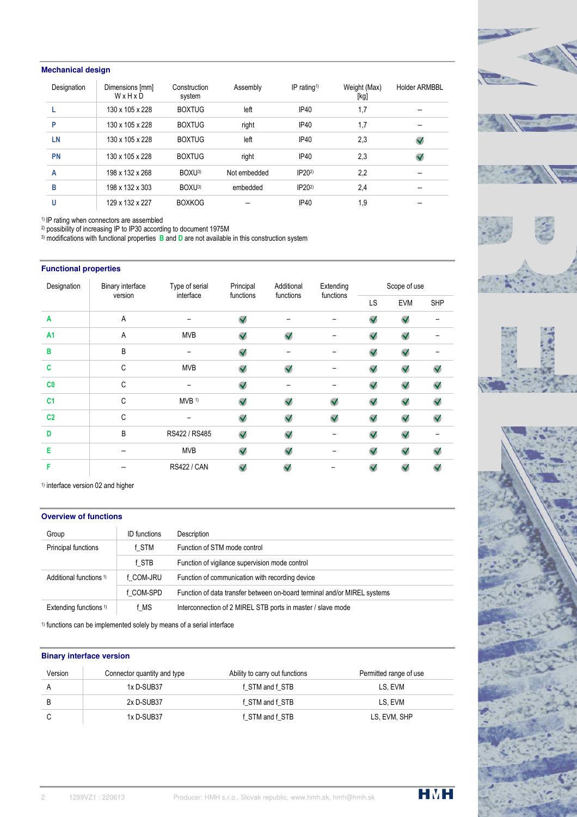## **Mechanical design**

| Designation | Dimensions [mm]<br>WxHxD | Construction<br>system | Assembly     | IP rating <sup>1)</sup> | Weight (Max)<br>[kg] | <b>Holder ARMBBL</b> |
|-------------|--------------------------|------------------------|--------------|-------------------------|----------------------|----------------------|
|             | 130 x 105 x 228          | <b>BOXTUG</b>          | left         | <b>IP40</b>             | 1,7                  |                      |
| P           | 130 x 105 x 228          | <b>BOXTUG</b>          | right        | IP <sub>40</sub>        | 1,7                  |                      |
| LN          | 130 x 105 x 228          | <b>BOXTUG</b>          | left         | <b>IP40</b>             | 2,3                  | $\checkmark$         |
| <b>PN</b>   | 130 x 105 x 228          | <b>BOXTUG</b>          | right        | IP <sub>40</sub>        | 2,3                  | $\checkmark$         |
| A           | 198 x 132 x 268          | BOXU <sup>3</sup>      | Not embedded | IP20 <sup>2</sup>       | 2,2                  |                      |
| в           | 198 x 132 x 303          | BOXU <sup>3</sup>      | embedded     | IP20 <sup>2</sup>       | 2.4                  |                      |
| U           | 129 x 132 x 227          | <b>BOXKOG</b>          |              | <b>IP40</b>             | 1,9                  |                      |

1) IP rating when connectors are assembled

2) possibility of increasing IP to IP30 according to document 1975M 3) modifications with functional properties **B** and **D** are not available in this construction system

#### **Functional properties**

| Designation    | <b>Binary interface</b> | Type of serial      | Principal            | Additional           | Extending    | Scope of use         |                      |                      |
|----------------|-------------------------|---------------------|----------------------|----------------------|--------------|----------------------|----------------------|----------------------|
|                | version                 | interface           | functions            | functions            | functions    | <b>LS</b>            | <b>EVM</b>           | <b>SHP</b>           |
| A              | A                       |                     | $\blacktriangledown$ |                      |              | $\checkmark$         | $\blacktriangledown$ |                      |
| A <sub>1</sub> | A                       | <b>MVB</b>          | $\checkmark$         | $\blacktriangledown$ |              | $\blacktriangledown$ | $\checkmark$         |                      |
| B              | B                       |                     | $\blacktriangledown$ |                      |              | $\blacktriangledown$ | $\checkmark$         |                      |
| C              | C                       | <b>MVB</b>          | $\blacktriangledown$ | $\blacktriangledown$ |              | $\blacktriangledown$ | $\blacktriangledown$ | $\checkmark$         |
| C <sub>0</sub> | C                       |                     | $\blacktriangledown$ |                      |              | $\blacktriangledown$ | $\checkmark$         | $\checkmark$         |
| C <sub>1</sub> | C                       | $MVB$ <sup>1)</sup> | $\checkmark$         | $\checkmark$         | $\checkmark$ | $\blacktriangledown$ | $\blacktriangledown$ | $\blacktriangledown$ |
| C <sub>2</sub> | C                       |                     | $\checkmark$         | $\checkmark$         | $\checkmark$ | $\checkmark$         | $\checkmark$         | $\checkmark$         |
| D              | B                       | RS422 / RS485       | $\checkmark$         | $\checkmark$         |              | $\checkmark$         | $\checkmark$         |                      |
| E              |                         | <b>MVB</b>          | $\checkmark$         | $\checkmark$         |              | $\checkmark$         | $\checkmark$         | $\checkmark$         |
| F              |                         | <b>RS422 / CAN</b>  | $\checkmark$         | $\checkmark$         |              | $\checkmark$         | $\checkmark$         | $\checkmark$         |

<sup>1)</sup> interface version 02 and higher

## **Overview of functions**

| Group                              | <b>ID</b> functions | Description                                                              |
|------------------------------------|---------------------|--------------------------------------------------------------------------|
| Principal functions                | f STM               | Function of STM mode control                                             |
|                                    | f STB               | Function of vigilance supervision mode control                           |
| Additional functions <sup>1)</sup> | f COM-JRU           | Function of communication with recording device                          |
|                                    | f COM-SPD           | Function of data transfer between on-board terminal and/or MIREL systems |
| Extending functions <sup>1)</sup>  | f MS                | Interconnection of 2 MIREL STB ports in master / slave mode              |

1) functions can be implemented solely by means of a serial interface

#### **Binary interface version**

| Version | Connector quantity and type | Ability to carry out functions | Permitted range of use |
|---------|-----------------------------|--------------------------------|------------------------|
|         | 1x D-SUB37                  | f STM and f STB                | LS. EVM                |
|         | 2x D-SUB37                  | f STM and f STB                | LS. EVM                |
|         | 1x D-SUB37                  | f STM and f STB                | LS, EVM, SHP           |







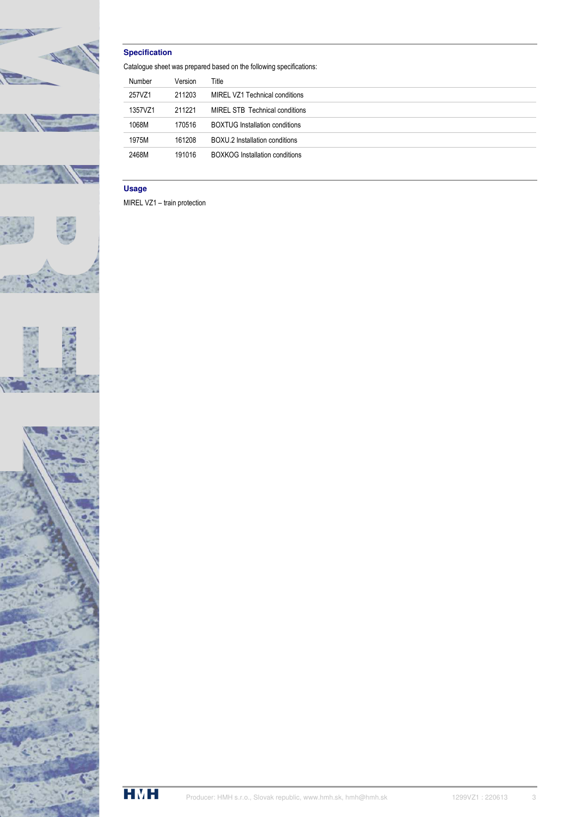

## **Specification**

Catalogue sheet was prepared based on the following specifications:

| Number  | Version | Title                                 |
|---------|---------|---------------------------------------|
| 257VZ1  | 211203  | MIREL VZ1 Technical conditions        |
| 1357VZ1 | 211221  | MIREL STB Technical conditions        |
| 1068M   | 170516  | <b>BOXTUG Installation conditions</b> |
| 1975M   | 161208  | BOXU.2 Installation conditions        |
| 2468M   | 191016  | <b>BOXKOG Installation conditions</b> |

## **Usage**

MIREL VZ1 – train protection